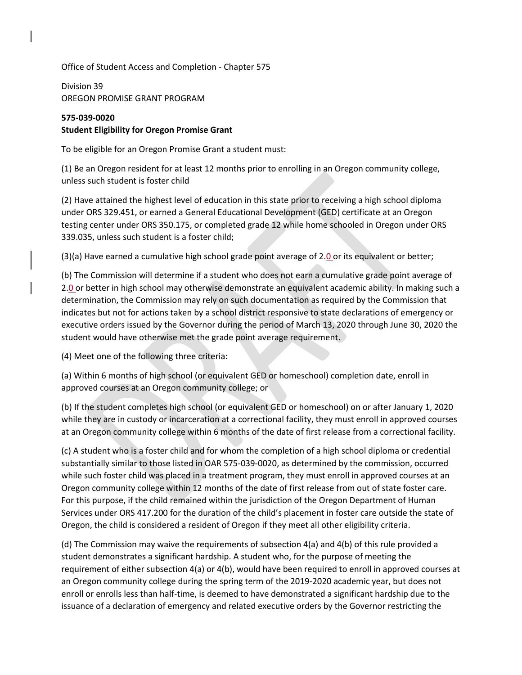Office of Student Access and Completion - Chapter 575

Division 39 OREGON PROMISE GRANT PROGRAM

## **575-039-0020 Student Eligibility for Oregon Promise Grant**

To be eligible for an Oregon Promise Grant a student must:

(1) Be an Oregon resident for at least 12 months prior to enrolling in an Oregon community college, unless such student is foster child

(2) Have attained the highest level of education in this state prior to receiving a high school diploma under ORS 329.451, or earned a General Educational Development (GED) certificate at an Oregon testing center under ORS 350.175, or completed grade 12 while home schooled in Oregon under ORS 339.035, unless such student is a foster child;

 $(3)(a)$  Have earned a cumulative high school grade point average of 2.0 or its equivalent or better;

(b) The Commission will determine if a student who does not earn a cumulative grade point average of 2.0 or better in high school may otherwise demonstrate an equivalent academic ability. In making such a determination, the Commission may rely on such documentation as required by the Commission that indicates but not for actions taken by a school district responsive to state declarations of emergency or executive orders issued by the Governor during the period of March 13, 2020 through June 30, 2020 the student would have otherwise met the grade point average requirement.

(4) Meet one of the following three criteria:

(a) Within 6 months of high school (or equivalent GED or homeschool) completion date, enroll in approved courses at an Oregon community college; or

(b) If the student completes high school (or equivalent GED or homeschool) on or after January 1, 2020 while they are in custody or incarceration at a correctional facility, they must enroll in approved courses at an Oregon community college within 6 months of the date of first release from a correctional facility.

(c) A student who is a foster child and for whom the completion of a high school diploma or credential substantially similar to those listed in OAR 575-039-0020, as determined by the commission, occurred while such foster child was placed in a treatment program, they must enroll in approved courses at an Oregon community college within 12 months of the date of first release from out of state foster care. For this purpose, if the child remained within the jurisdiction of the Oregon Department of Human Services under ORS 417.200 for the duration of the child's placement in foster care outside the state of Oregon, the child is considered a resident of Oregon if they meet all other eligibility criteria.

(d) The Commission may waive the requirements of subsection 4(a) and 4(b) of this rule provided a student demonstrates a significant hardship. A student who, for the purpose of meeting the requirement of either subsection 4(a) or 4(b), would have been required to enroll in approved courses at an Oregon community college during the spring term of the 2019-2020 academic year, but does not enroll or enrolls less than half-time, is deemed to have demonstrated a significant hardship due to the issuance of a declaration of emergency and related executive orders by the Governor restricting the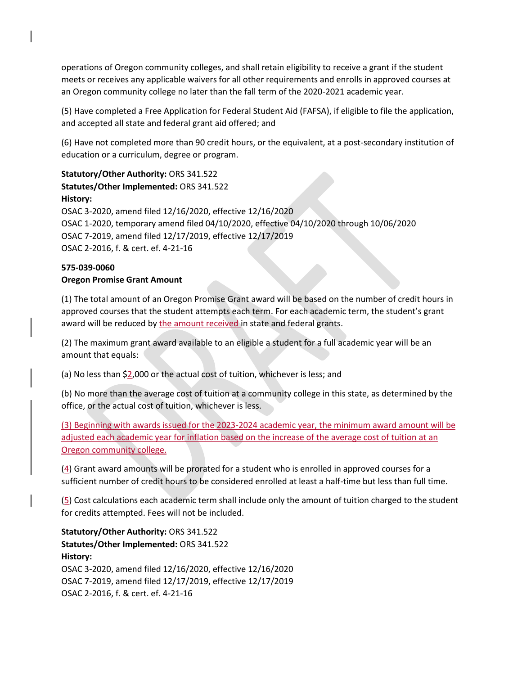operations of Oregon community colleges, and shall retain eligibility to receive a grant if the student meets or receives any applicable waivers for all other requirements and enrolls in approved courses at an Oregon community college no later than the fall term of the 2020-2021 academic year.

(5) Have completed a Free Application for Federal Student Aid (FAFSA), if eligible to file the application, and accepted all state and federal grant aid offered; and

(6) Have not completed more than 90 credit hours, or the equivalent, at a post-secondary institution of education or a curriculum, degree or program.

## **Statutory/Other Authority:** ORS 341.522 **Statutes/Other Implemented:** ORS 341.522 **History:**

OSAC 3-2020, amend filed 12/16/2020, effective 12/16/2020 OSAC 1-2020, temporary amend filed 04/10/2020, effective 04/10/2020 through 10/06/2020 OSAC 7-2019, amend filed 12/17/2019, effective 12/17/2019 OSAC 2-2016, f. & cert. ef. 4-21-16

## **575-039-0060 Oregon Promise Grant Amount**

(1) The total amount of an Oregon Promise Grant award will be based on the number of credit hours in approved courses that the student attempts each term. For each academic term, the student's grant award will be reduced by the amount received in state and federal grants.

(2) The maximum grant award available to an eligible a student for a full academic year will be an amount that equals:

(a) No less than \$2,000 or the actual cost of tuition, whichever is less; and

(b) No more than the average cost of tuition at a community college in this state, as determined by the office, or the actual cost of tuition, whichever is less.

(3) Beginning with awards issued for the 2023-2024 academic year, the minimum award amount will be adjusted each academic year for inflation based on the increase of the average cost of tuition at an Oregon community college.

(4) Grant award amounts will be prorated for a student who is enrolled in approved courses for a sufficient number of credit hours to be considered enrolled at least a half-time but less than full time.

(5) Cost calculations each academic term shall include only the amount of tuition charged to the student for credits attempted. Fees will not be included.

**Statutory/Other Authority:** ORS 341.522 **Statutes/Other Implemented:** ORS 341.522 **History:** OSAC 3-2020, amend filed 12/16/2020, effective 12/16/2020 OSAC 7-2019, amend filed 12/17/2019, effective 12/17/2019 OSAC 2-2016, f. & cert. ef. 4-21-16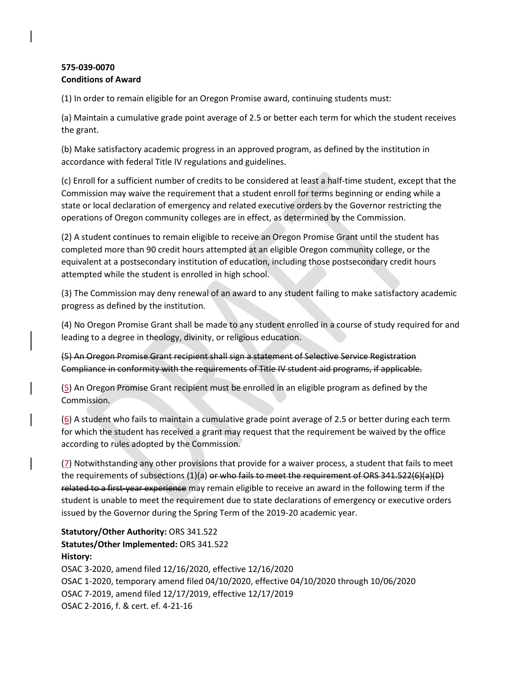## **575-039-0070 Conditions of Award**

(1) In order to remain eligible for an Oregon Promise award, continuing students must:

(a) Maintain a cumulative grade point average of 2.5 or better each term for which the student receives the grant.

(b) Make satisfactory academic progress in an approved program, as defined by the institution in accordance with federal Title IV regulations and guidelines.

(c) Enroll for a sufficient number of credits to be considered at least a half-time student, except that the Commission may waive the requirement that a student enroll for terms beginning or ending while a state or local declaration of emergency and related executive orders by the Governor restricting the operations of Oregon community colleges are in effect, as determined by the Commission.

(2) A student continues to remain eligible to receive an Oregon Promise Grant until the student has completed more than 90 credit hours attempted at an eligible Oregon community college, or the equivalent at a postsecondary institution of education, including those postsecondary credit hours attempted while the student is enrolled in high school.

(3) The Commission may deny renewal of an award to any student failing to make satisfactory academic progress as defined by the institution.

(4) No Oregon Promise Grant shall be made to any student enrolled in a course of study required for and leading to a degree in theology, divinity, or religious education.

(5) An Oregon Promise Grant recipient shall sign a statement of Selective Service Registration Compliance in conformity with the requirements of Title IV student aid programs, if applicable.

(5) An Oregon Promise Grant recipient must be enrolled in an eligible program as defined by the Commission.

(6) A student who fails to maintain a cumulative grade point average of 2.5 or better during each term for which the student has received a grant may request that the requirement be waived by the office according to rules adopted by the Commission.

(7) Notwithstanding any other provisions that provide for a waiver process, a student that fails to meet the requirements of subsections (1)(a) or who fails to meet the requirement of ORS 341.522(6)(a)(D) related to a first-year experience may remain eligible to receive an award in the following term if the student is unable to meet the requirement due to state declarations of emergency or executive orders issued by the Governor during the Spring Term of the 2019-20 academic year.

**Statutory/Other Authority:** ORS 341.522 **Statutes/Other Implemented:** ORS 341.522 **History:** OSAC 3-2020, amend filed 12/16/2020, effective 12/16/2020 OSAC 1-2020, temporary amend filed 04/10/2020, effective 04/10/2020 through 10/06/2020 OSAC 7-2019, amend filed 12/17/2019, effective 12/17/2019 OSAC 2-2016, f. & cert. ef. 4-21-16